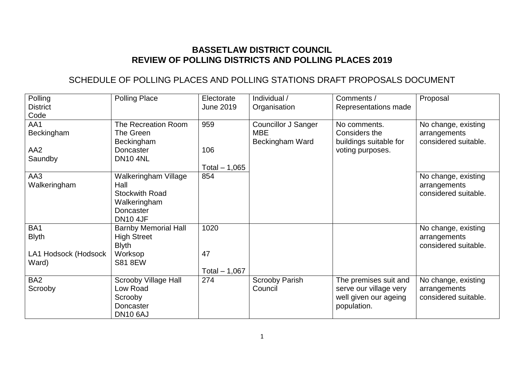## **BASSETLAW DISTRICT COUNCIL REVIEW OF POLLING DISTRICTS AND POLLING PLACES 2019**

# SCHEDULE OF POLLING PLACES AND POLLING STATIONS DRAFT PROPOSALS DOCUMENT

| Polling              | <b>Polling Place</b>        | Electorate       | Individual /               | Comments /             | Proposal             |
|----------------------|-----------------------------|------------------|----------------------------|------------------------|----------------------|
| <b>District</b>      |                             | <b>June 2019</b> | Organisation               | Representations made   |                      |
| Code                 |                             |                  |                            |                        |                      |
| AA1                  | The Recreation Room         | 959              | <b>Councillor J Sanger</b> | No comments.           | No change, existing  |
| Beckingham           | The Green                   |                  | <b>MBE</b>                 | Considers the          | arrangements         |
|                      | Beckingham                  |                  | Beckingham Ward            | buildings suitable for | considered suitable. |
| AA <sub>2</sub>      | Doncaster                   | 106              |                            | voting purposes.       |                      |
| Saundby              | <b>DN10 4NL</b>             |                  |                            |                        |                      |
|                      |                             | Total $-1,065$   |                            |                        |                      |
| AA3                  | Walkeringham Village        | 854              |                            |                        | No change, existing  |
| Walkeringham         | Hall                        |                  |                            |                        | arrangements         |
|                      | <b>Stockwith Road</b>       |                  |                            |                        | considered suitable. |
|                      | Walkeringham                |                  |                            |                        |                      |
|                      | Doncaster                   |                  |                            |                        |                      |
|                      | <b>DN10 4JF</b>             |                  |                            |                        |                      |
| BA <sub>1</sub>      | <b>Barnby Memorial Hall</b> | 1020             |                            |                        | No change, existing  |
| <b>Blyth</b>         | <b>High Street</b>          |                  |                            |                        | arrangements         |
|                      | <b>Blyth</b>                |                  |                            |                        | considered suitable. |
| LA1 Hodsock (Hodsock | Worksop                     | 47               |                            |                        |                      |
| Ward)                | <b>S81 8EW</b>              |                  |                            |                        |                      |
|                      |                             | Total $-1,067$   |                            |                        |                      |
| BA <sub>2</sub>      | Scrooby Village Hall        | 274              | <b>Scrooby Parish</b>      | The premises suit and  | No change, existing  |
| Scrooby              | Low Road                    |                  | Council                    | serve our village very | arrangements         |
|                      | Scrooby                     |                  |                            | well given our ageing  | considered suitable. |
|                      | Doncaster                   |                  |                            | population.            |                      |
|                      | <b>DN10 6AJ</b>             |                  |                            |                        |                      |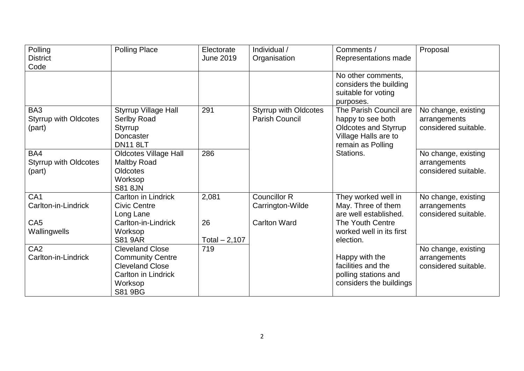| Polling                                       | <b>Polling Place</b>                                                                                                     | Electorate           | Individual /                                          | Comments /                                                                                                              | Proposal                                                    |
|-----------------------------------------------|--------------------------------------------------------------------------------------------------------------------------|----------------------|-------------------------------------------------------|-------------------------------------------------------------------------------------------------------------------------|-------------------------------------------------------------|
| <b>District</b>                               |                                                                                                                          | <b>June 2019</b>     | Organisation                                          | Representations made                                                                                                    |                                                             |
| Code                                          |                                                                                                                          |                      |                                                       |                                                                                                                         |                                                             |
|                                               |                                                                                                                          |                      |                                                       | No other comments,<br>considers the building<br>suitable for voting<br>purposes.                                        |                                                             |
| BA3<br><b>Styrrup with Oldcotes</b><br>(part) | <b>Styrrup Village Hall</b><br>Serlby Road<br><b>Styrrup</b><br>Doncaster<br><b>DN11 8LT</b>                             | 291                  | <b>Styrrup with Oldcotes</b><br><b>Parish Council</b> | The Parish Council are<br>happy to see both<br><b>Oldcotes and Styrrup</b><br>Village Halls are to<br>remain as Polling | No change, existing<br>arrangements<br>considered suitable. |
| BA4<br><b>Styrrup with Oldcotes</b><br>(part) | <b>Oldcotes Village Hall</b><br>Maltby Road<br>Oldcotes<br>Worksop<br><b>S81 8JN</b>                                     | 286                  |                                                       | Stations.                                                                                                               | No change, existing<br>arrangements<br>considered suitable. |
| CA <sub>1</sub><br>Carlton-in-Lindrick        | Carlton in Lindrick<br><b>Civic Centre</b><br>Long Lane                                                                  | 2,081                | <b>Councillor R</b><br>Carrington-Wilde               | They worked well in<br>May. Three of them<br>are well established.                                                      | No change, existing<br>arrangements<br>considered suitable. |
| CA <sub>5</sub><br>Wallingwells               | Carlton-in-Lindrick<br>Worksop<br><b>S81 9AR</b>                                                                         | 26<br>Total $-2,107$ | <b>Carlton Ward</b>                                   | The Youth Centre<br>worked well in its first<br>election.                                                               |                                                             |
| CA <sub>2</sub><br>Carlton-in-Lindrick        | <b>Cleveland Close</b><br><b>Community Centre</b><br><b>Cleveland Close</b><br>Carlton in Lindrick<br>Worksop<br>S81 9BG | 719                  |                                                       | Happy with the<br>facilities and the<br>polling stations and<br>considers the buildings                                 | No change, existing<br>arrangements<br>considered suitable. |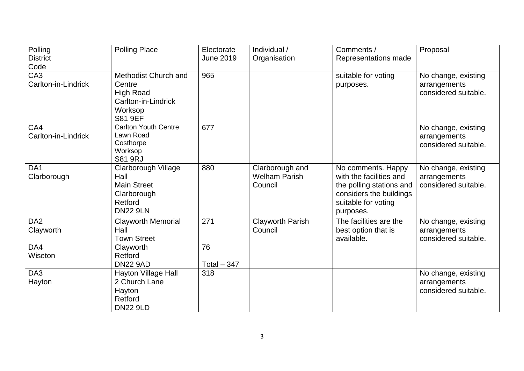| Polling             | <b>Polling Place</b>        | Electorate   | Individual /            | Comments /               | Proposal             |
|---------------------|-----------------------------|--------------|-------------------------|--------------------------|----------------------|
| <b>District</b>     |                             | June 2019    | Organisation            | Representations made     |                      |
| Code                |                             |              |                         |                          |                      |
| CA <sub>3</sub>     | Methodist Church and        | 965          |                         | suitable for voting      | No change, existing  |
| Carlton-in-Lindrick | Centre                      |              |                         | purposes.                | arrangements         |
|                     | <b>High Road</b>            |              |                         |                          | considered suitable. |
|                     | Carlton-in-Lindrick         |              |                         |                          |                      |
|                     | Worksop                     |              |                         |                          |                      |
|                     | <b>S81 9EF</b>              |              |                         |                          |                      |
| CA4                 | <b>Carlton Youth Centre</b> | 677          |                         |                          | No change, existing  |
| Carlton-in-Lindrick | Lawn Road                   |              |                         |                          | arrangements         |
|                     | Costhorpe<br>Worksop        |              |                         |                          | considered suitable. |
|                     | <b>S81 9RJ</b>              |              |                         |                          |                      |
| DA <sub>1</sub>     | Clarborough Village         | 880          | Clarborough and         | No comments. Happy       | No change, existing  |
| Clarborough         | Hall                        |              | <b>Welham Parish</b>    | with the facilities and  | arrangements         |
|                     | <b>Main Street</b>          |              | Council                 | the polling stations and | considered suitable. |
|                     | Clarborough                 |              |                         | considers the buildings  |                      |
|                     | Retford                     |              |                         | suitable for voting      |                      |
|                     | <b>DN22 9LN</b>             |              |                         | purposes.                |                      |
| DA <sub>2</sub>     | <b>Clayworth Memorial</b>   | 271          | <b>Clayworth Parish</b> | The facilities are the   | No change, existing  |
| Clayworth           | Hall                        |              | Council                 | best option that is      | arrangements         |
|                     | <b>Town Street</b>          |              |                         | available.               | considered suitable. |
| DA4                 | Clayworth                   | 76           |                         |                          |                      |
| Wiseton             | Retford                     |              |                         |                          |                      |
|                     | <b>DN22 9AD</b>             | Total $-347$ |                         |                          |                      |
| DA3                 | Hayton Village Hall         | 318          |                         |                          | No change, existing  |
| Hayton              | 2 Church Lane               |              |                         |                          | arrangements         |
|                     | Hayton                      |              |                         |                          | considered suitable. |
|                     | Retford                     |              |                         |                          |                      |
|                     | <b>DN22 9LD</b>             |              |                         |                          |                      |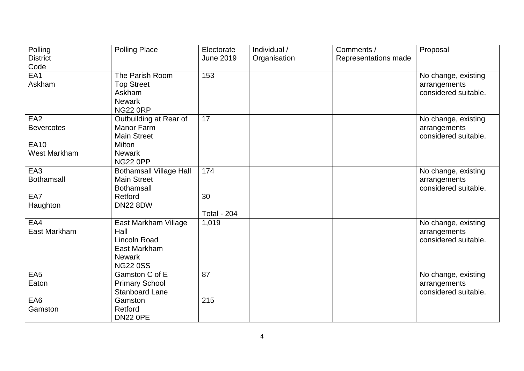| Polling           | <b>Polling Place</b>           | Electorate         | Individual / | Comments /           | Proposal             |
|-------------------|--------------------------------|--------------------|--------------|----------------------|----------------------|
| <b>District</b>   |                                | <b>June 2019</b>   | Organisation | Representations made |                      |
| Code              |                                |                    |              |                      |                      |
| EA1               | The Parish Room                | 153                |              |                      | No change, existing  |
| Askham            | <b>Top Street</b>              |                    |              |                      | arrangements         |
|                   | Askham                         |                    |              |                      | considered suitable. |
|                   | <b>Newark</b>                  |                    |              |                      |                      |
|                   | <b>NG22 0RP</b>                |                    |              |                      |                      |
| EA <sub>2</sub>   | Outbuilding at Rear of         | 17                 |              |                      | No change, existing  |
| <b>Bevercotes</b> | <b>Manor Farm</b>              |                    |              |                      | arrangements         |
|                   | <b>Main Street</b>             |                    |              |                      | considered suitable. |
| <b>EA10</b>       | <b>Milton</b>                  |                    |              |                      |                      |
| West Markham      | <b>Newark</b>                  |                    |              |                      |                      |
|                   | <b>NG22 0PP</b>                |                    |              |                      |                      |
| EA <sub>3</sub>   | <b>Bothamsall Village Hall</b> | 174                |              |                      | No change, existing  |
| <b>Bothamsall</b> | <b>Main Street</b>             |                    |              |                      | arrangements         |
|                   | <b>Bothamsall</b>              |                    |              |                      | considered suitable. |
| EA7               | Retford                        | 30                 |              |                      |                      |
| Haughton          | <b>DN22 8DW</b>                |                    |              |                      |                      |
|                   |                                | <b>Total - 204</b> |              |                      |                      |
| EA4               | East Markham Village           | 1,019              |              |                      | No change, existing  |
| East Markham      | Hall                           |                    |              |                      | arrangements         |
|                   | <b>Lincoln Road</b>            |                    |              |                      | considered suitable. |
|                   | East Markham                   |                    |              |                      |                      |
|                   | <b>Newark</b>                  |                    |              |                      |                      |
|                   | <b>NG22 0SS</b>                |                    |              |                      |                      |
| EA <sub>5</sub>   | Gamston C of E                 | 87                 |              |                      | No change, existing  |
| Eaton             | <b>Primary School</b>          |                    |              |                      | arrangements         |
|                   | <b>Stanboard Lane</b>          |                    |              |                      | considered suitable. |
| EA6               | Gamston                        | 215                |              |                      |                      |
| Gamston           | Retford                        |                    |              |                      |                      |
|                   | <b>DN22 0PE</b>                |                    |              |                      |                      |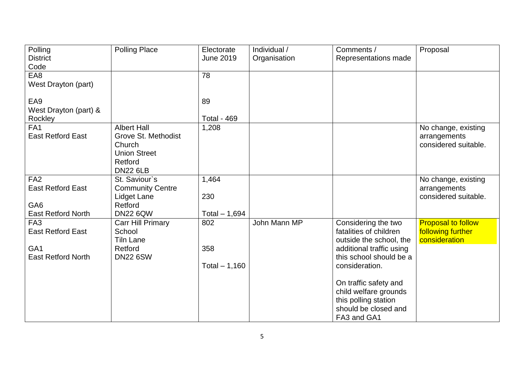| Polling                   | <b>Polling Place</b>     | Electorate         | Individual / | Comments /               | Proposal                  |
|---------------------------|--------------------------|--------------------|--------------|--------------------------|---------------------------|
| <b>District</b>           |                          | <b>June 2019</b>   | Organisation | Representations made     |                           |
| Code                      |                          |                    |              |                          |                           |
| EA8                       |                          | 78                 |              |                          |                           |
| West Drayton (part)       |                          |                    |              |                          |                           |
| EA9                       |                          | 89                 |              |                          |                           |
| West Drayton (part) &     |                          |                    |              |                          |                           |
| Rockley                   |                          | <b>Total - 469</b> |              |                          |                           |
| FA <sub>1</sub>           | <b>Albert Hall</b>       | 1,208              |              |                          | No change, existing       |
| <b>East Retford East</b>  | Grove St. Methodist      |                    |              |                          | arrangements              |
|                           | Church                   |                    |              |                          | considered suitable.      |
|                           | <b>Union Street</b>      |                    |              |                          |                           |
|                           | Retford                  |                    |              |                          |                           |
|                           | <b>DN22 6LB</b>          |                    |              |                          |                           |
| FA <sub>2</sub>           | St. Saviour's            | 1,464              |              |                          | No change, existing       |
| <b>East Retford East</b>  | <b>Community Centre</b>  |                    |              |                          | arrangements              |
|                           | <b>Lidget Lane</b>       | 230                |              |                          | considered suitable.      |
| GA <sub>6</sub>           | Retford                  |                    |              |                          |                           |
| <b>East Retford North</b> | <b>DN22 6QW</b>          | Total $-1,694$     |              |                          |                           |
| FA <sub>3</sub>           | <b>Carr Hill Primary</b> | 802                | John Mann MP | Considering the two      | <b>Proposal to follow</b> |
| <b>East Retford East</b>  | School                   |                    |              | fatalities of children   | following further         |
|                           | <b>Tiln Lane</b>         |                    |              | outside the school, the  | consideration             |
| GA <sub>1</sub>           | Retford                  | 358                |              | additional traffic using |                           |
| <b>East Retford North</b> | <b>DN22 6SW</b>          |                    |              | this school should be a  |                           |
|                           |                          | Total $-1,160$     |              | consideration.           |                           |
|                           |                          |                    |              | On traffic safety and    |                           |
|                           |                          |                    |              | child welfare grounds    |                           |
|                           |                          |                    |              | this polling station     |                           |
|                           |                          |                    |              | should be closed and     |                           |
|                           |                          |                    |              | FA3 and GA1              |                           |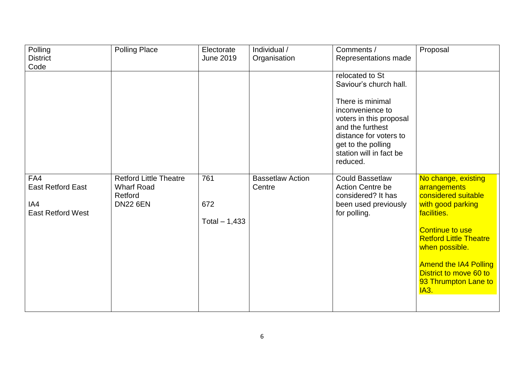| Polling<br><b>District</b>                                         | <b>Polling Place</b>                                                             | Electorate<br><b>June 2019</b> | Individual /<br>Organisation      | Comments /<br>Representations made                                                                                                                                                                                      | Proposal                                                                                                                                                                                                                                                                     |
|--------------------------------------------------------------------|----------------------------------------------------------------------------------|--------------------------------|-----------------------------------|-------------------------------------------------------------------------------------------------------------------------------------------------------------------------------------------------------------------------|------------------------------------------------------------------------------------------------------------------------------------------------------------------------------------------------------------------------------------------------------------------------------|
| Code                                                               |                                                                                  |                                |                                   |                                                                                                                                                                                                                         |                                                                                                                                                                                                                                                                              |
|                                                                    |                                                                                  |                                |                                   | relocated to St<br>Saviour's church hall.<br>There is minimal<br>inconvenience to<br>voters in this proposal<br>and the furthest<br>distance for voters to<br>get to the polling<br>station will in fact be<br>reduced. |                                                                                                                                                                                                                                                                              |
| FA4<br><b>East Retford East</b><br>IA4<br><b>East Retford West</b> | <b>Retford Little Theatre</b><br><b>Wharf Road</b><br>Retford<br><b>DN22 6EN</b> | 761<br>672<br>Total $-1,433$   | <b>Bassetlaw Action</b><br>Centre | <b>Could Bassetlaw</b><br><b>Action Centre be</b><br>considered? It has<br>been used previously<br>for polling.                                                                                                         | No change, existing<br>arrangements<br>considered suitable<br>with good parking<br>facilities.<br><b>Continue to use</b><br><b>Retford Little Theatre</b><br>when possible.<br><b>Amend the IA4 Polling</b><br>District to move 60 to<br>93 Thrumpton Lane to<br><b>IA3.</b> |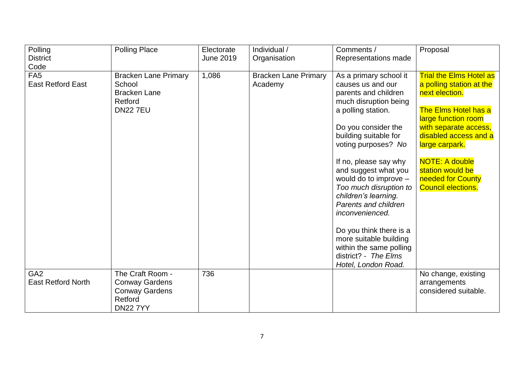| Polling<br><b>District</b>                   | <b>Polling Place</b>                                                                             | Electorate<br><b>June 2019</b> | Individual /<br>Organisation           | Comments /<br>Representations made                                                                                                                                                                                                                                                                                                                                                                                                                                                              | Proposal                                                                                                                                                                                                                                                                                       |
|----------------------------------------------|--------------------------------------------------------------------------------------------------|--------------------------------|----------------------------------------|-------------------------------------------------------------------------------------------------------------------------------------------------------------------------------------------------------------------------------------------------------------------------------------------------------------------------------------------------------------------------------------------------------------------------------------------------------------------------------------------------|------------------------------------------------------------------------------------------------------------------------------------------------------------------------------------------------------------------------------------------------------------------------------------------------|
| Code                                         |                                                                                                  |                                |                                        |                                                                                                                                                                                                                                                                                                                                                                                                                                                                                                 |                                                                                                                                                                                                                                                                                                |
| FA <sub>5</sub><br><b>East Retford East</b>  | <b>Bracken Lane Primary</b><br>School<br><b>Bracken Lane</b><br>Retford<br><b>DN22 7EU</b>       | 1,086                          | <b>Bracken Lane Primary</b><br>Academy | As a primary school it<br>causes us and our<br>parents and children<br>much disruption being<br>a polling station.<br>Do you consider the<br>building suitable for<br>voting purposes? No<br>If no, please say why<br>and suggest what you<br>would do to improve -<br>Too much disruption to<br>children's learning.<br>Parents and children<br>inconvenienced.<br>Do you think there is a<br>more suitable building<br>within the same polling<br>district? - The Elms<br>Hotel, London Road. | <b>Trial the Elms Hotel as</b><br>a polling station at the<br>next election.<br>The Elms Hotel has a<br>large function room<br>with separate access,<br>disabled access and a<br>large carpark.<br><b>NOTE: A double</b><br>station would be<br>needed for County<br><b>Council elections.</b> |
| GA <sub>2</sub><br><b>East Retford North</b> | The Craft Room -<br><b>Conway Gardens</b><br><b>Conway Gardens</b><br>Retford<br><b>DN22 7YY</b> | 736                            |                                        |                                                                                                                                                                                                                                                                                                                                                                                                                                                                                                 | No change, existing<br>arrangements<br>considered suitable.                                                                                                                                                                                                                                    |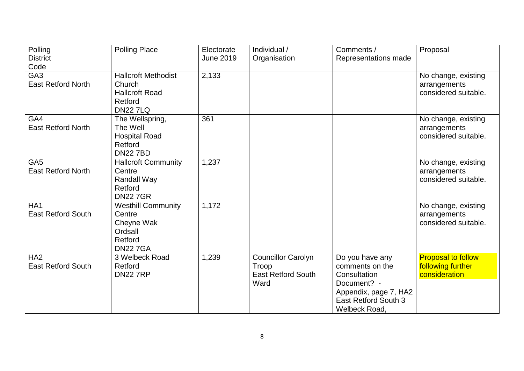| Polling<br><b>District</b><br>Code           | <b>Polling Place</b>                                                                       | Electorate<br><b>June 2019</b> | Individual /<br>Organisation                                            | Comments /<br>Representations made                                                                                                  | Proposal                                                        |
|----------------------------------------------|--------------------------------------------------------------------------------------------|--------------------------------|-------------------------------------------------------------------------|-------------------------------------------------------------------------------------------------------------------------------------|-----------------------------------------------------------------|
| GA <sub>3</sub><br><b>East Retford North</b> | <b>Hallcroft Methodist</b><br>Church<br><b>Hallcroft Road</b><br>Retford<br><b>DN227LQ</b> | 2,133                          |                                                                         |                                                                                                                                     | No change, existing<br>arrangements<br>considered suitable.     |
| GA4<br><b>East Retford North</b>             | The Wellspring,<br>The Well<br><b>Hospital Road</b><br>Retford<br><b>DN227BD</b>           | 361                            |                                                                         |                                                                                                                                     | No change, existing<br>arrangements<br>considered suitable.     |
| GA <sub>5</sub><br><b>East Retford North</b> | <b>Hallcroft Community</b><br>Centre<br>Randall Way<br>Retford<br><b>DN227GR</b>           | 1,237                          |                                                                         |                                                                                                                                     | No change, existing<br>arrangements<br>considered suitable.     |
| HA <sub>1</sub><br><b>East Retford South</b> | <b>Westhill Community</b><br>Centre<br>Cheyne Wak<br>Ordsall<br>Retford<br><b>DN227GA</b>  | 1,172                          |                                                                         |                                                                                                                                     | No change, existing<br>arrangements<br>considered suitable.     |
| HA <sub>2</sub><br><b>East Retford South</b> | 3 Welbeck Road<br>Retford<br><b>DN227RP</b>                                                | 1,239                          | <b>Councillor Carolyn</b><br>Troop<br><b>East Retford South</b><br>Ward | Do you have any<br>comments on the<br>Consultation<br>Document? -<br>Appendix, page 7, HA2<br>East Retford South 3<br>Welbeck Road, | <b>Proposal to follow</b><br>following further<br>consideration |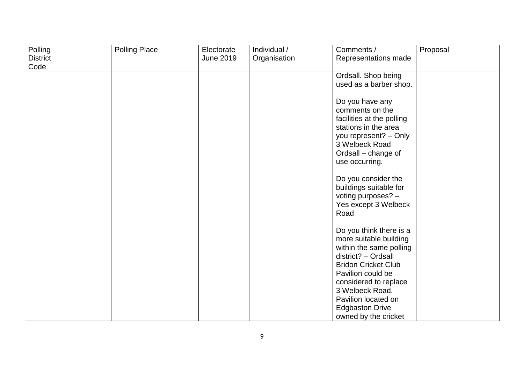| Polling         | <b>Polling Place</b> | Electorate       | Individual / | Comments /                 | Proposal |
|-----------------|----------------------|------------------|--------------|----------------------------|----------|
| <b>District</b> |                      | <b>June 2019</b> | Organisation | Representations made       |          |
| Code            |                      |                  |              |                            |          |
|                 |                      |                  |              | Ordsall. Shop being        |          |
|                 |                      |                  |              | used as a barber shop.     |          |
|                 |                      |                  |              |                            |          |
|                 |                      |                  |              | Do you have any            |          |
|                 |                      |                  |              | comments on the            |          |
|                 |                      |                  |              |                            |          |
|                 |                      |                  |              | facilities at the polling  |          |
|                 |                      |                  |              | stations in the area       |          |
|                 |                      |                  |              | you represent? - Only      |          |
|                 |                      |                  |              | 3 Welbeck Road             |          |
|                 |                      |                  |              | Ordsall – change of        |          |
|                 |                      |                  |              | use occurring.             |          |
|                 |                      |                  |              |                            |          |
|                 |                      |                  |              | Do you consider the        |          |
|                 |                      |                  |              | buildings suitable for     |          |
|                 |                      |                  |              | voting purposes? -         |          |
|                 |                      |                  |              | Yes except 3 Welbeck       |          |
|                 |                      |                  |              | Road                       |          |
|                 |                      |                  |              |                            |          |
|                 |                      |                  |              | Do you think there is a    |          |
|                 |                      |                  |              | more suitable building     |          |
|                 |                      |                  |              | within the same polling    |          |
|                 |                      |                  |              | $distlict? - Ordsall$      |          |
|                 |                      |                  |              | <b>Bridon Cricket Club</b> |          |
|                 |                      |                  |              |                            |          |
|                 |                      |                  |              | Pavilion could be          |          |
|                 |                      |                  |              | considered to replace      |          |
|                 |                      |                  |              | 3 Welbeck Road.            |          |
|                 |                      |                  |              | Pavilion located on        |          |
|                 |                      |                  |              | <b>Edgbaston Drive</b>     |          |
|                 |                      |                  |              | owned by the cricket       |          |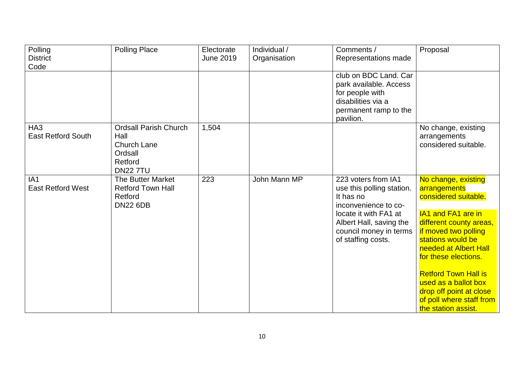| Polling<br><b>District</b><br>Code           | <b>Polling Place</b>                                                                               | Electorate<br><b>June 2019</b> | Individual /<br>Organisation | Comments /<br>Representations made                                                                                                                                                        | Proposal                                                                                                                                                                                                                                                                                                                                        |
|----------------------------------------------|----------------------------------------------------------------------------------------------------|--------------------------------|------------------------------|-------------------------------------------------------------------------------------------------------------------------------------------------------------------------------------------|-------------------------------------------------------------------------------------------------------------------------------------------------------------------------------------------------------------------------------------------------------------------------------------------------------------------------------------------------|
|                                              |                                                                                                    |                                |                              | club on BDC Land. Car<br>park available. Access<br>for people with<br>disabilities via a<br>permanent ramp to the<br>pavilion.                                                            |                                                                                                                                                                                                                                                                                                                                                 |
| HA <sub>3</sub><br><b>East Retford South</b> | <b>Ordsall Parish Church</b><br>Hall<br><b>Church Lane</b><br>Ordsall<br>Retford<br><b>DN227TU</b> | 1,504                          |                              |                                                                                                                                                                                           | No change, existing<br>arrangements<br>considered suitable.                                                                                                                                                                                                                                                                                     |
| IA <sub>1</sub><br><b>East Retford West</b>  | The Butter Market<br><b>Retford Town Hall</b><br>Retford<br><b>DN22 6DB</b>                        | 223                            | John Mann MP                 | 223 voters from IA1<br>use this polling station.<br>It has no<br>inconvenience to co-<br>locate it with FA1 at<br>Albert Hall, saving the<br>council money in terms<br>of staffing costs. | No change, existing<br>arrangements<br>considered suitable.<br>IA1 and FA1 are in<br>different county areas,<br>if moved two polling<br>stations would be<br>needed at Albert Hall<br>for these elections.<br><b>Retford Town Hall is</b><br>used as a ballot box<br>drop off point at close<br>of poll where staff from<br>the station assist. |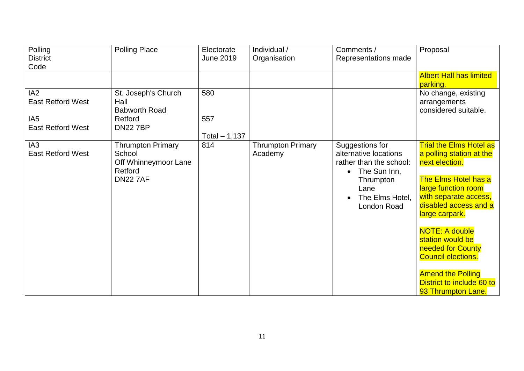| Polling<br><b>District</b><br>Code          | <b>Polling Place</b>                                                                     | Electorate<br><b>June 2019</b> | Individual /<br>Organisation        | Comments /<br>Representations made                                                                                                                      | Proposal                                                                                                                                                                                                                                                                                                                                                                      |
|---------------------------------------------|------------------------------------------------------------------------------------------|--------------------------------|-------------------------------------|---------------------------------------------------------------------------------------------------------------------------------------------------------|-------------------------------------------------------------------------------------------------------------------------------------------------------------------------------------------------------------------------------------------------------------------------------------------------------------------------------------------------------------------------------|
|                                             |                                                                                          |                                |                                     |                                                                                                                                                         | <b>Albert Hall has limited</b><br>parking.                                                                                                                                                                                                                                                                                                                                    |
| IA2<br><b>East Retford West</b>             | St. Joseph's Church<br>Hall<br><b>Babworth Road</b>                                      | 580                            |                                     |                                                                                                                                                         | No change, existing<br>arrangements<br>considered suitable.                                                                                                                                                                                                                                                                                                                   |
| IA <sub>5</sub><br><b>East Retford West</b> | Retford<br><b>DN227BP</b>                                                                | 557<br>Total $-1,137$          |                                     |                                                                                                                                                         |                                                                                                                                                                                                                                                                                                                                                                               |
| IA <sub>3</sub><br><b>East Retford West</b> | <b>Thrumpton Primary</b><br>School<br>Off Whinneymoor Lane<br>Retford<br><b>DN22 7AF</b> | 814                            | <b>Thrumpton Primary</b><br>Academy | Suggestions for<br>alternative locations<br>rather than the school:<br>The Sun Inn,<br>$\bullet$<br>Thrumpton<br>Lane<br>The Elms Hotel,<br>London Road | <b>Trial the Elms Hotel as</b><br>a polling station at the<br>next election.<br>The Elms Hotel has a<br>large function room<br>with separate access,<br>disabled access and a<br>large carpark.<br><b>NOTE: A double</b><br>station would be<br>needed for County<br><b>Council elections.</b><br><b>Amend the Polling</b><br>District to include 60 to<br>93 Thrumpton Lane. |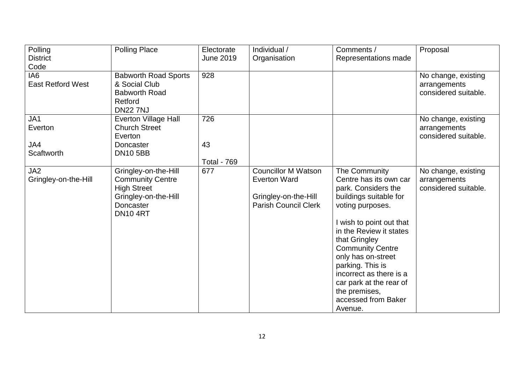| Polling                  | <b>Polling Place</b>         | Electorate         | Individual /                | Comments /               | Proposal                             |
|--------------------------|------------------------------|--------------------|-----------------------------|--------------------------|--------------------------------------|
| <b>District</b>          |                              | <b>June 2019</b>   | Organisation                | Representations made     |                                      |
| Code                     |                              |                    |                             |                          |                                      |
| IA <sub>6</sub>          | <b>Babworth Road Sports</b>  | 928                |                             |                          | No change, existing                  |
| <b>East Retford West</b> | & Social Club                |                    |                             |                          | arrangements                         |
|                          | <b>Babworth Road</b>         |                    |                             |                          | considered suitable.                 |
|                          | Retford                      |                    |                             |                          |                                      |
|                          | <b>DN22 7NJ</b>              |                    |                             |                          |                                      |
| JA1                      | <b>Everton Village Hall</b>  | 726                |                             |                          | No change, existing                  |
| Everton                  | <b>Church Street</b>         |                    |                             |                          | arrangements<br>considered suitable. |
| JA4                      | Everton<br>Doncaster         | 43                 |                             |                          |                                      |
| Scaftworth               | <b>DN10 5BB</b>              |                    |                             |                          |                                      |
|                          |                              | <b>Total - 769</b> |                             |                          |                                      |
| JA <sub>2</sub>          | Gringley-on-the-Hill         | 677                | <b>Councillor M Watson</b>  | The Community            | No change, existing                  |
| Gringley-on-the-Hill     | <b>Community Centre</b>      |                    | <b>Everton Ward</b>         | Centre has its own car   | arrangements                         |
|                          | <b>High Street</b>           |                    |                             | park. Considers the      | considered suitable.                 |
|                          | Gringley-on-the-Hill         |                    | Gringley-on-the-Hill        | buildings suitable for   |                                      |
|                          | Doncaster<br><b>DN10 4RT</b> |                    | <b>Parish Council Clerk</b> | voting purposes.         |                                      |
|                          |                              |                    |                             | I wish to point out that |                                      |
|                          |                              |                    |                             | in the Review it states  |                                      |
|                          |                              |                    |                             | that Gringley            |                                      |
|                          |                              |                    |                             | <b>Community Centre</b>  |                                      |
|                          |                              |                    |                             | only has on-street       |                                      |
|                          |                              |                    |                             | parking. This is         |                                      |
|                          |                              |                    |                             | incorrect as there is a  |                                      |
|                          |                              |                    |                             | car park at the rear of  |                                      |
|                          |                              |                    |                             | the premises,            |                                      |
|                          |                              |                    |                             | accessed from Baker      |                                      |
|                          |                              |                    |                             | Avenue.                  |                                      |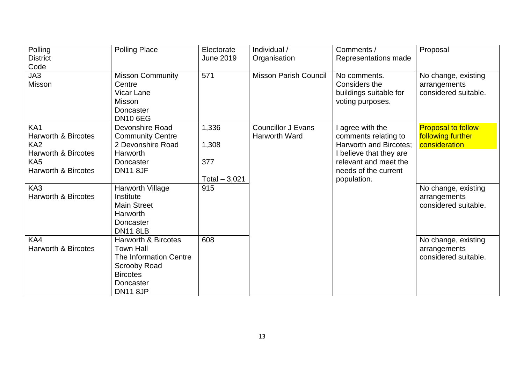| Polling                        | <b>Polling Place</b>           | Electorate       | Individual /                 | Comments /              | Proposal                  |
|--------------------------------|--------------------------------|------------------|------------------------------|-------------------------|---------------------------|
| <b>District</b>                |                                | <b>June 2019</b> | Organisation                 | Representations made    |                           |
| Code                           |                                |                  |                              |                         |                           |
| JA3                            | <b>Misson Community</b>        | 571              | <b>Misson Parish Council</b> | No comments.            | No change, existing       |
| Misson                         | Centre                         |                  |                              | Considers the           | arrangements              |
|                                | <b>Vicar Lane</b>              |                  |                              | buildings suitable for  | considered suitable.      |
|                                | Misson                         |                  |                              | voting purposes.        |                           |
|                                | Doncaster                      |                  |                              |                         |                           |
|                                | <b>DN10 6EG</b>                |                  |                              |                         |                           |
| KA <sub>1</sub>                | Devonshire Road                | 1,336            | <b>Councillor J Evans</b>    | I agree with the        | <b>Proposal to follow</b> |
| <b>Harworth &amp; Bircotes</b> | <b>Community Centre</b>        |                  | <b>Harworth Ward</b>         | comments relating to    | following further         |
| KA <sub>2</sub>                | 2 Devonshire Road              | 1,308            |                              | Harworth and Bircotes;  | consideration             |
| <b>Harworth &amp; Bircotes</b> | <b>Harworth</b>                |                  |                              | I believe that they are |                           |
| KA <sub>5</sub>                | Doncaster                      | 377              |                              | relevant and meet the   |                           |
| <b>Harworth &amp; Bircotes</b> | <b>DN11 8JF</b>                |                  |                              | needs of the current    |                           |
|                                |                                | Total $-3,021$   |                              | population.             |                           |
| KA3                            | Harworth Village               | 915              |                              |                         | No change, existing       |
| <b>Harworth &amp; Bircotes</b> | Institute                      |                  |                              |                         | arrangements              |
|                                | <b>Main Street</b>             |                  |                              |                         | considered suitable.      |
|                                | <b>Harworth</b>                |                  |                              |                         |                           |
|                                | Doncaster                      |                  |                              |                         |                           |
|                                | <b>DN11 8LB</b>                |                  |                              |                         |                           |
| KA4                            | <b>Harworth &amp; Bircotes</b> | 608              |                              |                         | No change, existing       |
| <b>Harworth &amp; Bircotes</b> | <b>Town Hall</b>               |                  |                              |                         | arrangements              |
|                                | The Information Centre         |                  |                              |                         | considered suitable.      |
|                                | <b>Scrooby Road</b>            |                  |                              |                         |                           |
|                                | <b>Bircotes</b>                |                  |                              |                         |                           |
|                                | Doncaster                      |                  |                              |                         |                           |
|                                | <b>DN11 8JP</b>                |                  |                              |                         |                           |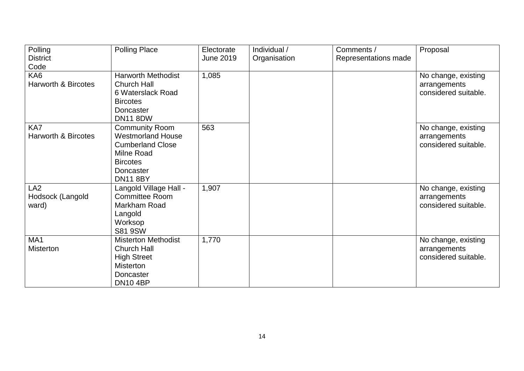| Polling<br><b>District</b>                   | <b>Polling Place</b>                                                                                                                          | Electorate<br><b>June 2019</b> | Individual /<br>Organisation | Comments /<br>Representations made | Proposal                                                    |
|----------------------------------------------|-----------------------------------------------------------------------------------------------------------------------------------------------|--------------------------------|------------------------------|------------------------------------|-------------------------------------------------------------|
| Code                                         |                                                                                                                                               |                                |                              |                                    |                                                             |
| KA6<br><b>Harworth &amp; Bircotes</b>        | <b>Harworth Methodist</b><br><b>Church Hall</b><br>6 Waterslack Road<br><b>Bircotes</b><br><b>Doncaster</b><br><b>DN11 8DW</b>                | 1,085                          |                              |                                    | No change, existing<br>arrangements<br>considered suitable. |
| KA7<br><b>Harworth &amp; Bircotes</b>        | <b>Community Room</b><br><b>Westmorland House</b><br><b>Cumberland Close</b><br>Milne Road<br><b>Bircotes</b><br>Doncaster<br><b>DN11 8BY</b> | 563                            |                              |                                    | No change, existing<br>arrangements<br>considered suitable. |
| LA <sub>2</sub><br>Hodsock (Langold<br>ward) | Langold Village Hall -<br>Committee Room<br>Markham Road<br>Langold<br>Worksop<br><b>S81 9SW</b>                                              | 1,907                          |                              |                                    | No change, existing<br>arrangements<br>considered suitable. |
| MA1<br><b>Misterton</b>                      | <b>Misterton Methodist</b><br><b>Church Hall</b><br><b>High Street</b><br><b>Misterton</b><br>Doncaster<br><b>DN10 4BP</b>                    | 1,770                          |                              |                                    | No change, existing<br>arrangements<br>considered suitable. |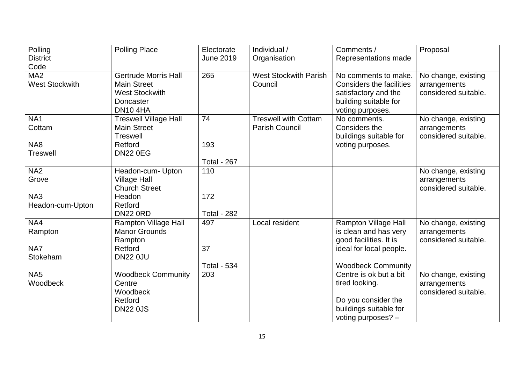| Polling               | <b>Polling Place</b>         | Electorate         | Individual /                 | Comments /                | Proposal             |
|-----------------------|------------------------------|--------------------|------------------------------|---------------------------|----------------------|
| <b>District</b>       |                              | <b>June 2019</b>   | Organisation                 | Representations made      |                      |
| Code                  |                              |                    |                              |                           |                      |
| MA <sub>2</sub>       | <b>Gertrude Morris Hall</b>  | 265                | <b>West Stockwith Parish</b> | No comments to make.      | No change, existing  |
| <b>West Stockwith</b> | <b>Main Street</b>           |                    | Council                      | Considers the facilities  | arrangements         |
|                       | <b>West Stockwith</b>        |                    |                              | satisfactory and the      | considered suitable. |
|                       | Doncaster                    |                    |                              | building suitable for     |                      |
|                       | <b>DN104HA</b>               |                    |                              | voting purposes.          |                      |
| NA <sub>1</sub>       | <b>Treswell Village Hall</b> | 74                 | <b>Treswell with Cottam</b>  | No comments.              | No change, existing  |
| Cottam                | <b>Main Street</b>           |                    | <b>Parish Council</b>        | Considers the             | arrangements         |
|                       | <b>Treswell</b>              |                    |                              | buildings suitable for    | considered suitable. |
| NA8                   | Retford                      | 193                |                              | voting purposes.          |                      |
| <b>Treswell</b>       | <b>DN22 0EG</b>              |                    |                              |                           |                      |
|                       |                              | <b>Total - 267</b> |                              |                           |                      |
| NA <sub>2</sub>       | Headon-cum- Upton            | 110                |                              |                           | No change, existing  |
| Grove                 | <b>Village Hall</b>          |                    |                              |                           | arrangements         |
|                       | <b>Church Street</b>         |                    |                              |                           | considered suitable. |
| NA <sub>3</sub>       | Headon                       | 172                |                              |                           |                      |
| Headon-cum-Upton      | Retford                      |                    |                              |                           |                      |
|                       | <b>DN22 0RD</b>              | <b>Total - 282</b> |                              |                           |                      |
| NA4                   | Rampton Village Hall         | 497                | Local resident               | Rampton Village Hall      | No change, existing  |
| Rampton               | <b>Manor Grounds</b>         |                    |                              | is clean and has very     | arrangements         |
|                       | Rampton                      |                    |                              | good facilities. It is    | considered suitable. |
| NA7                   | Retford                      | 37                 |                              | ideal for local people.   |                      |
| Stokeham              | <b>DN22 0JU</b>              |                    |                              |                           |                      |
|                       |                              | <b>Total - 534</b> |                              | <b>Woodbeck Community</b> |                      |
| NA <sub>5</sub>       | <b>Woodbeck Community</b>    | 203                |                              | Centre is ok but a bit    | No change, existing  |
| Woodbeck              | Centre                       |                    |                              | tired looking.            | arrangements         |
|                       | Woodbeck                     |                    |                              |                           | considered suitable. |
|                       | Retford                      |                    |                              | Do you consider the       |                      |
|                       | <b>DN22 0JS</b>              |                    |                              | buildings suitable for    |                      |
|                       |                              |                    |                              | voting purposes? -        |                      |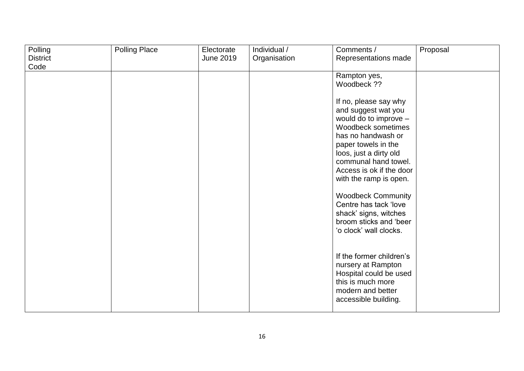| Polling         | <b>Polling Place</b> | Electorate       | Individual / | Comments /                | Proposal |
|-----------------|----------------------|------------------|--------------|---------------------------|----------|
| <b>District</b> |                      | <b>June 2019</b> | Organisation | Representations made      |          |
| Code            |                      |                  |              |                           |          |
|                 |                      |                  |              | Rampton yes,              |          |
|                 |                      |                  |              | Woodbeck ??               |          |
|                 |                      |                  |              |                           |          |
|                 |                      |                  |              | If no, please say why     |          |
|                 |                      |                  |              | and suggest wat you       |          |
|                 |                      |                  |              | would do to improve -     |          |
|                 |                      |                  |              | Woodbeck sometimes        |          |
|                 |                      |                  |              | has no handwash or        |          |
|                 |                      |                  |              | paper towels in the       |          |
|                 |                      |                  |              | loos, just a dirty old    |          |
|                 |                      |                  |              | communal hand towel.      |          |
|                 |                      |                  |              | Access is ok if the door  |          |
|                 |                      |                  |              | with the ramp is open.    |          |
|                 |                      |                  |              |                           |          |
|                 |                      |                  |              | <b>Woodbeck Community</b> |          |
|                 |                      |                  |              | Centre has tack 'love     |          |
|                 |                      |                  |              | shack' signs, witches     |          |
|                 |                      |                  |              | broom sticks and 'beer    |          |
|                 |                      |                  |              | 'o clock' wall clocks.    |          |
|                 |                      |                  |              |                           |          |
|                 |                      |                  |              |                           |          |
|                 |                      |                  |              | If the former children's  |          |
|                 |                      |                  |              | nursery at Rampton        |          |
|                 |                      |                  |              | Hospital could be used    |          |
|                 |                      |                  |              | this is much more         |          |
|                 |                      |                  |              | modern and better         |          |
|                 |                      |                  |              | accessible building.      |          |
|                 |                      |                  |              |                           |          |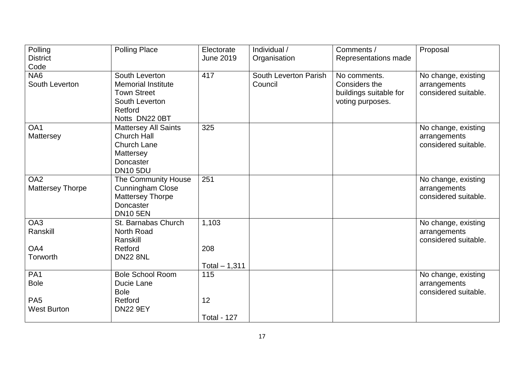| Polling                 | <b>Polling Place</b>        | Electorate         | Individual /          | Comments /             | Proposal             |
|-------------------------|-----------------------------|--------------------|-----------------------|------------------------|----------------------|
| <b>District</b>         |                             | <b>June 2019</b>   | Organisation          | Representations made   |                      |
| Code                    |                             |                    |                       |                        |                      |
| NA <sub>6</sub>         | South Leverton              | 417                | South Leverton Parish | No comments.           | No change, existing  |
| South Leverton          | <b>Memorial Institute</b>   |                    | Council               | Considers the          | arrangements         |
|                         | <b>Town Street</b>          |                    |                       | buildings suitable for | considered suitable. |
|                         | South Leverton              |                    |                       | voting purposes.       |                      |
|                         | Retford                     |                    |                       |                        |                      |
|                         | Notts DN22 0BT              |                    |                       |                        |                      |
| OA1                     | <b>Mattersey All Saints</b> | 325                |                       |                        | No change, existing  |
| Mattersey               | <b>Church Hall</b>          |                    |                       |                        | arrangements         |
|                         | <b>Church Lane</b>          |                    |                       |                        | considered suitable. |
|                         | Mattersey                   |                    |                       |                        |                      |
|                         | Doncaster                   |                    |                       |                        |                      |
|                         | <b>DN10 5DU</b>             |                    |                       |                        |                      |
| OA <sub>2</sub>         | The Community House         | 251                |                       |                        | No change, existing  |
| <b>Mattersey Thorpe</b> | <b>Cunningham Close</b>     |                    |                       |                        | arrangements         |
|                         | <b>Mattersey Thorpe</b>     |                    |                       |                        | considered suitable. |
|                         | Doncaster                   |                    |                       |                        |                      |
|                         | <b>DN10 5EN</b>             |                    |                       |                        |                      |
| OA3                     | St. Barnabas Church         | 1,103              |                       |                        | No change, existing  |
| Ranskill                | North Road                  |                    |                       |                        | arrangements         |
|                         | Ranskill                    |                    |                       |                        | considered suitable. |
| OA4                     | Retford                     | 208                |                       |                        |                      |
| Torworth                | <b>DN22 8NL</b>             |                    |                       |                        |                      |
|                         |                             | Total $-1,311$     |                       |                        |                      |
| PA <sub>1</sub>         | <b>Bole School Room</b>     | 115                |                       |                        | No change, existing  |
| <b>Bole</b>             | Ducie Lane                  |                    |                       |                        | arrangements         |
|                         | <b>Bole</b>                 |                    |                       |                        | considered suitable. |
| PA <sub>5</sub>         | Retford                     | 12                 |                       |                        |                      |
| <b>West Burton</b>      | <b>DN22 9EY</b>             |                    |                       |                        |                      |
|                         |                             | <b>Total - 127</b> |                       |                        |                      |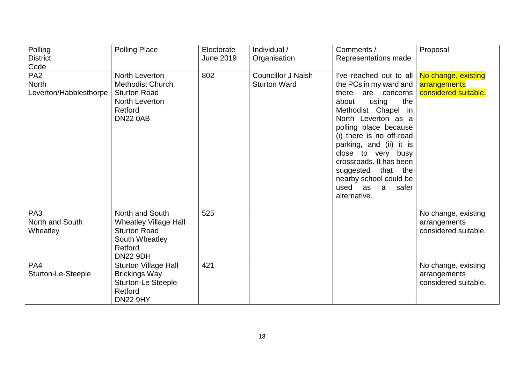| Polling<br><b>District</b>                                        | <b>Polling Place</b>                                                                                                   | Electorate<br>June 2019 | Individual /<br>Organisation                     | Comments /<br>Representations made                                                                                                                                                                                                                                                                                                                                             | Proposal                                                    |
|-------------------------------------------------------------------|------------------------------------------------------------------------------------------------------------------------|-------------------------|--------------------------------------------------|--------------------------------------------------------------------------------------------------------------------------------------------------------------------------------------------------------------------------------------------------------------------------------------------------------------------------------------------------------------------------------|-------------------------------------------------------------|
| Code<br>PA <sub>2</sub><br><b>North</b><br>Leverton/Habblesthorpe | North Leverton<br><b>Methodist Church</b><br><b>Sturton Road</b><br>North Leverton<br>Retford<br><b>DN22 0AB</b>       | 802                     | <b>Councillor J Naish</b><br><b>Sturton Ward</b> | I've reached out to all<br>the PCs in my ward and<br>there are concerns<br>about<br>the<br>using<br>Methodist Chapel in<br>North Leverton as a<br>polling place because<br>(i) there is no off-road<br>parking, and (ii) it is<br>close to very busy<br>crossroads. It has been<br>that<br>the<br>suggested<br>nearby school could be<br>used as<br>a<br>safer<br>alternative. | No change, existing<br>arrangements<br>considered suitable. |
| PA <sub>3</sub><br>North and South<br>Wheatley                    | North and South<br><b>Wheatley Village Hall</b><br><b>Sturton Road</b><br>South Wheatley<br>Retford<br><b>DN22 9DH</b> | 525                     |                                                  |                                                                                                                                                                                                                                                                                                                                                                                | No change, existing<br>arrangements<br>considered suitable. |
| PA4<br>Sturton-Le-Steeple                                         | Sturton Village Hall<br><b>Brickings Way</b><br><b>Sturton-Le Steeple</b><br>Retford<br><b>DN22 9HY</b>                | 421                     |                                                  |                                                                                                                                                                                                                                                                                                                                                                                | No change, existing<br>arrangements<br>considered suitable. |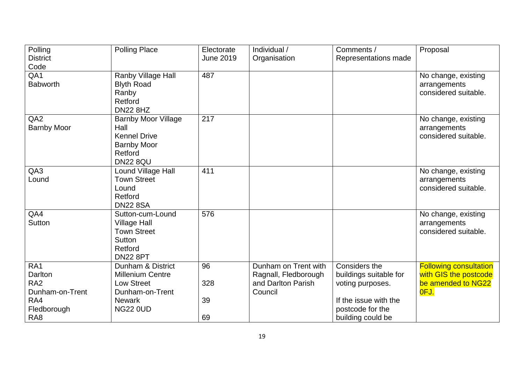| Polling            | <b>Polling Place</b>       | Electorate       | Individual /         | Comments /             | Proposal                      |
|--------------------|----------------------------|------------------|----------------------|------------------------|-------------------------------|
| <b>District</b>    |                            | <b>June 2019</b> | Organisation         | Representations made   |                               |
| Code               |                            |                  |                      |                        |                               |
| QA1                | Ranby Village Hall         | 487              |                      |                        | No change, existing           |
| <b>Babworth</b>    | <b>Blyth Road</b>          |                  |                      |                        | arrangements                  |
|                    | Ranby                      |                  |                      |                        | considered suitable.          |
|                    | Retford                    |                  |                      |                        |                               |
|                    | <b>DN22 8HZ</b>            |                  |                      |                        |                               |
| QA <sub>2</sub>    | <b>Barnby Moor Village</b> | 217              |                      |                        | No change, existing           |
| <b>Barnby Moor</b> | Hall                       |                  |                      |                        | arrangements                  |
|                    | <b>Kennel Drive</b>        |                  |                      |                        | considered suitable.          |
|                    | <b>Barnby Moor</b>         |                  |                      |                        |                               |
|                    | Retford                    |                  |                      |                        |                               |
|                    | <b>DN22 8QU</b>            |                  |                      |                        |                               |
| QA3                | Lound Village Hall         | 411              |                      |                        | No change, existing           |
| Lound              | <b>Town Street</b>         |                  |                      |                        | arrangements                  |
|                    | Lound                      |                  |                      |                        | considered suitable.          |
|                    | Retford                    |                  |                      |                        |                               |
|                    | <b>DN22 8SA</b>            |                  |                      |                        |                               |
| QA4                | Sutton-cum-Lound           | 576              |                      |                        | No change, existing           |
| Sutton             | <b>Village Hall</b>        |                  |                      |                        | arrangements                  |
|                    | <b>Town Street</b>         |                  |                      |                        | considered suitable.          |
|                    | Sutton                     |                  |                      |                        |                               |
|                    | Retford                    |                  |                      |                        |                               |
|                    | <b>DN22 8PT</b>            |                  |                      |                        |                               |
| RA1                | Dunham & District          | 96               | Dunham on Trent with | Considers the          | <b>Following consultation</b> |
| Darlton            | <b>Millenium Centre</b>    |                  | Ragnall, Fledborough | buildings suitable for | with GIS the postcode         |
| RA <sub>2</sub>    | <b>Low Street</b>          | 328              | and Darlton Parish   | voting purposes.       | be amended to NG22            |
| Dunham-on-Trent    | Dunham-on-Trent            |                  | Council              |                        | OFJ.                          |
| RA4                | <b>Newark</b>              | 39               |                      | If the issue with the  |                               |
| Fledborough        | <b>NG22 0UD</b>            |                  |                      | postcode for the       |                               |
| RA <sub>8</sub>    |                            | 69               |                      | building could be      |                               |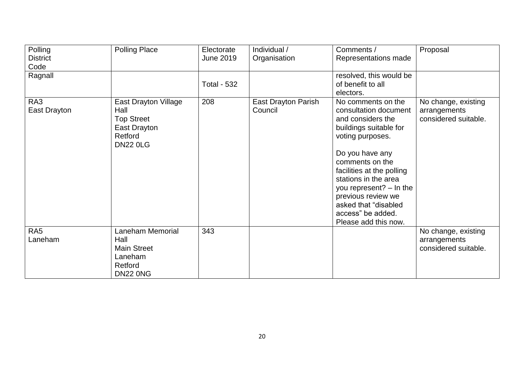| Polling         | <b>Polling Place</b>        | Electorate         | Individual /               | Comments /                | Proposal             |
|-----------------|-----------------------------|--------------------|----------------------------|---------------------------|----------------------|
| <b>District</b> |                             | June 2019          | Organisation               | Representations made      |                      |
| Code            |                             |                    |                            |                           |                      |
| Ragnall         |                             |                    |                            | resolved, this would be   |                      |
|                 |                             | <b>Total - 532</b> |                            | of benefit to all         |                      |
|                 |                             |                    |                            | electors.                 |                      |
| RA3             | <b>East Drayton Village</b> | 208                | <b>East Drayton Parish</b> | No comments on the        | No change, existing  |
| East Drayton    | Hall                        |                    | Council                    | consultation document     | arrangements         |
|                 | <b>Top Street</b>           |                    |                            | and considers the         | considered suitable. |
|                 | East Drayton                |                    |                            | buildings suitable for    |                      |
|                 | Retford                     |                    |                            | voting purposes.          |                      |
|                 | <b>DN22 0LG</b>             |                    |                            |                           |                      |
|                 |                             |                    |                            | Do you have any           |                      |
|                 |                             |                    |                            | comments on the           |                      |
|                 |                             |                    |                            | facilities at the polling |                      |
|                 |                             |                    |                            | stations in the area      |                      |
|                 |                             |                    |                            | you represent? - In the   |                      |
|                 |                             |                    |                            | previous review we        |                      |
|                 |                             |                    |                            | asked that "disabled      |                      |
|                 |                             |                    |                            | access" be added.         |                      |
|                 |                             |                    |                            | Please add this now.      |                      |
| RA <sub>5</sub> | Laneham Memorial            | 343                |                            |                           | No change, existing  |
| Laneham         | Hall                        |                    |                            |                           | arrangements         |
|                 | <b>Main Street</b>          |                    |                            |                           | considered suitable. |
|                 | Laneham                     |                    |                            |                           |                      |
|                 | Retford                     |                    |                            |                           |                      |
|                 | <b>DN22 0NG</b>             |                    |                            |                           |                      |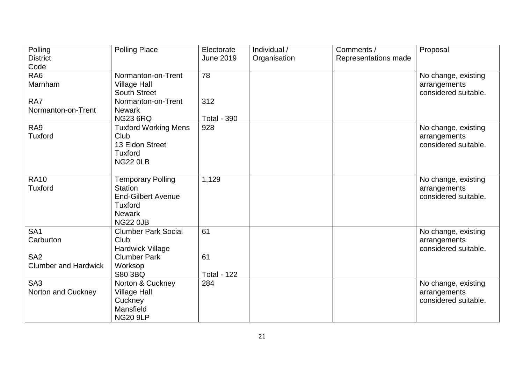| Polling                     | <b>Polling Place</b>        | Electorate         | Individual / | Comments /           | Proposal             |
|-----------------------------|-----------------------------|--------------------|--------------|----------------------|----------------------|
| <b>District</b>             |                             | <b>June 2019</b>   | Organisation | Representations made |                      |
| Code                        |                             |                    |              |                      |                      |
| RA <sub>6</sub>             | Normanton-on-Trent          | 78                 |              |                      | No change, existing  |
| Marnham                     | <b>Village Hall</b>         |                    |              |                      | arrangements         |
|                             | <b>South Street</b>         |                    |              |                      | considered suitable. |
| RA7                         | Normanton-on-Trent          | 312                |              |                      |                      |
| Normanton-on-Trent          | <b>Newark</b>               |                    |              |                      |                      |
|                             | <b>NG23 6RQ</b>             | <b>Total - 390</b> |              |                      |                      |
| RA9                         | <b>Tuxford Working Mens</b> | 928                |              |                      | No change, existing  |
| <b>Tuxford</b>              | Club                        |                    |              |                      | arrangements         |
|                             | 13 Eldon Street             |                    |              |                      | considered suitable. |
|                             | <b>Tuxford</b>              |                    |              |                      |                      |
|                             | <b>NG22 0LB</b>             |                    |              |                      |                      |
|                             |                             |                    |              |                      |                      |
| <b>RA10</b>                 | <b>Temporary Polling</b>    | 1,129              |              |                      | No change, existing  |
| <b>Tuxford</b>              | <b>Station</b>              |                    |              |                      | arrangements         |
|                             | <b>End-Gilbert Avenue</b>   |                    |              |                      | considered suitable. |
|                             | <b>Tuxford</b>              |                    |              |                      |                      |
|                             | <b>Newark</b>               |                    |              |                      |                      |
|                             | <b>NG22 0JB</b>             |                    |              |                      |                      |
| SA <sub>1</sub>             | <b>Clumber Park Social</b>  | 61                 |              |                      | No change, existing  |
| Carburton                   | Club                        |                    |              |                      | arrangements         |
|                             | <b>Hardwick Village</b>     |                    |              |                      | considered suitable. |
| SA <sub>2</sub>             | <b>Clumber Park</b>         | 61                 |              |                      |                      |
| <b>Clumber and Hardwick</b> | Worksop                     |                    |              |                      |                      |
|                             | <b>S80 3BQ</b>              | <b>Total - 122</b> |              |                      |                      |
| SA <sub>3</sub>             | Norton & Cuckney            | 284                |              |                      | No change, existing  |
| Norton and Cuckney          | <b>Village Hall</b>         |                    |              |                      | arrangements         |
|                             | Cuckney                     |                    |              |                      | considered suitable. |
|                             | Mansfield                   |                    |              |                      |                      |
|                             | <b>NG20 9LP</b>             |                    |              |                      |                      |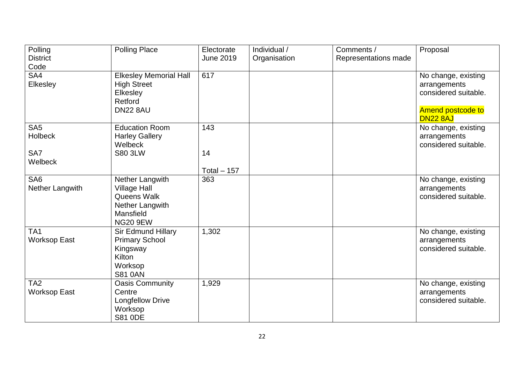| Polling                            | <b>Polling Place</b>                   | Electorate       | Individual / | Comments /           | Proposal                             |
|------------------------------------|----------------------------------------|------------------|--------------|----------------------|--------------------------------------|
| <b>District</b>                    |                                        | <b>June 2019</b> | Organisation | Representations made |                                      |
| Code                               |                                        |                  |              |                      |                                      |
| SA4                                | <b>Elkesley Memorial Hall</b>          | 617              |              |                      | No change, existing                  |
| Elkesley                           | <b>High Street</b><br>Elkesley         |                  |              |                      | arrangements<br>considered suitable. |
|                                    | Retford                                |                  |              |                      |                                      |
|                                    | <b>DN22 8AU</b>                        |                  |              |                      | <b>Amend postcode to</b>             |
|                                    |                                        |                  |              |                      | <b>DN22 8AJ</b>                      |
| SA <sub>5</sub>                    | <b>Education Room</b>                  | 143              |              |                      | No change, existing                  |
| <b>Holbeck</b>                     | <b>Harley Gallery</b>                  |                  |              |                      | arrangements                         |
|                                    | Welbeck                                |                  |              |                      | considered suitable.                 |
| SA7                                | <b>S80 3LW</b>                         | 14               |              |                      |                                      |
| Welbeck                            |                                        |                  |              |                      |                                      |
|                                    |                                        | Total $-157$     |              |                      |                                      |
| SA <sub>6</sub><br>Nether Langwith | Nether Langwith<br><b>Village Hall</b> | 363              |              |                      | No change, existing<br>arrangements  |
|                                    | Queens Walk                            |                  |              |                      | considered suitable.                 |
|                                    | Nether Langwith                        |                  |              |                      |                                      |
|                                    | Mansfield                              |                  |              |                      |                                      |
|                                    | <b>NG20 9EW</b>                        |                  |              |                      |                                      |
| TA1                                | <b>Sir Edmund Hillary</b>              | 1,302            |              |                      | No change, existing                  |
| <b>Worksop East</b>                | <b>Primary School</b>                  |                  |              |                      | arrangements                         |
|                                    | Kingsway                               |                  |              |                      | considered suitable.                 |
|                                    | <b>Kilton</b>                          |                  |              |                      |                                      |
|                                    | Worksop                                |                  |              |                      |                                      |
|                                    | <b>S81 0AN</b>                         |                  |              |                      |                                      |
| TA <sub>2</sub>                    | <b>Oasis Community</b>                 | 1,929            |              |                      | No change, existing                  |
| <b>Worksop East</b>                | Centre                                 |                  |              |                      | arrangements<br>considered suitable. |
|                                    | <b>Longfellow Drive</b><br>Worksop     |                  |              |                      |                                      |
|                                    | <b>S81 ODE</b>                         |                  |              |                      |                                      |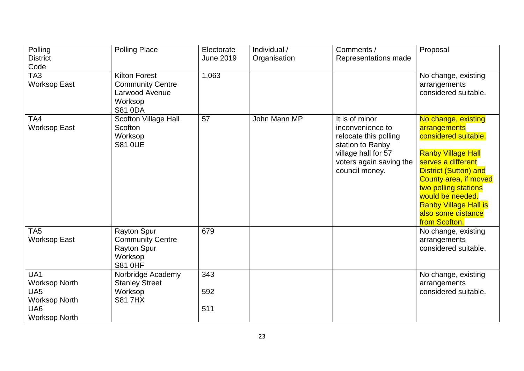| Polling                                                                | <b>Polling Place</b>                                                                             | Electorate       | Individual / | Comments /                                                                                                                                          | Proposal                                                                                                                                                                                                                                                                                          |
|------------------------------------------------------------------------|--------------------------------------------------------------------------------------------------|------------------|--------------|-----------------------------------------------------------------------------------------------------------------------------------------------------|---------------------------------------------------------------------------------------------------------------------------------------------------------------------------------------------------------------------------------------------------------------------------------------------------|
| <b>District</b>                                                        |                                                                                                  | <b>June 2019</b> | Organisation | Representations made                                                                                                                                |                                                                                                                                                                                                                                                                                                   |
| Code                                                                   |                                                                                                  |                  |              |                                                                                                                                                     |                                                                                                                                                                                                                                                                                                   |
| TA <sub>3</sub><br><b>Worksop East</b>                                 | <b>Kilton Forest</b><br><b>Community Centre</b><br>Larwood Avenue                                | 1,063            |              |                                                                                                                                                     | No change, existing<br>arrangements<br>considered suitable.                                                                                                                                                                                                                                       |
|                                                                        | Worksop<br><b>S81 0DA</b>                                                                        |                  |              |                                                                                                                                                     |                                                                                                                                                                                                                                                                                                   |
| TA4<br><b>Worksop East</b>                                             | Scofton Village Hall<br>Scofton<br>Worksop<br><b>S81 OUE</b>                                     | 57               | John Mann MP | It is of minor<br>inconvenience to<br>relocate this polling<br>station to Ranby<br>village hall for 57<br>voters again saving the<br>council money. | No change, existing<br>arrangements<br>considered suitable.<br><b>Ranby Village Hall</b><br>serves a different<br><b>District (Sutton) and</b><br><b>County area, if moved</b><br>two polling stations<br>would be needed.<br><b>Ranby Village Hall is</b><br>also some distance<br>from Scofton. |
| TA <sub>5</sub><br><b>Worksop East</b>                                 | <b>Rayton Spur</b><br><b>Community Centre</b><br><b>Rayton Spur</b><br>Worksop<br><b>S81 0HF</b> | 679              |              |                                                                                                                                                     | No change, existing<br>arrangements<br>considered suitable.                                                                                                                                                                                                                                       |
| UA1<br><b>Worksop North</b><br>UA <sub>5</sub><br><b>Worksop North</b> | Norbridge Academy<br><b>Stanley Street</b><br>Worksop<br><b>S817HX</b>                           | 343<br>592       |              |                                                                                                                                                     | No change, existing<br>arrangements<br>considered suitable.                                                                                                                                                                                                                                       |
| UA6<br><b>Worksop North</b>                                            |                                                                                                  | 511              |              |                                                                                                                                                     |                                                                                                                                                                                                                                                                                                   |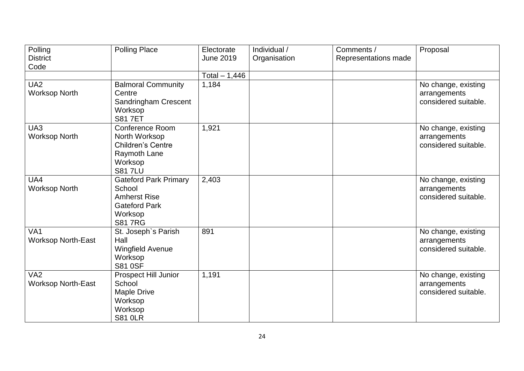| Polling                   | <b>Polling Place</b>         | Electorate       | Individual / | Comments /           | Proposal                            |
|---------------------------|------------------------------|------------------|--------------|----------------------|-------------------------------------|
| <b>District</b>           |                              | <b>June 2019</b> | Organisation | Representations made |                                     |
| Code                      |                              |                  |              |                      |                                     |
|                           |                              | Total $-1,446$   |              |                      |                                     |
| UA <sub>2</sub>           | <b>Balmoral Community</b>    | 1,184            |              |                      | No change, existing                 |
| <b>Worksop North</b>      | Centre                       |                  |              |                      | arrangements                        |
|                           | Sandringham Crescent         |                  |              |                      | considered suitable.                |
|                           | Worksop                      |                  |              |                      |                                     |
|                           | <b>S81 7ET</b>               |                  |              |                      |                                     |
| UA3                       | <b>Conference Room</b>       | 1,921            |              |                      | No change, existing                 |
| <b>Worksop North</b>      | North Worksop                |                  |              |                      | arrangements                        |
|                           | <b>Children's Centre</b>     |                  |              |                      | considered suitable.                |
|                           | Raymoth Lane                 |                  |              |                      |                                     |
|                           | Worksop                      |                  |              |                      |                                     |
|                           | <b>S81 7LU</b>               |                  |              |                      |                                     |
| UA4                       | <b>Gateford Park Primary</b> | 2,403            |              |                      | No change, existing                 |
| <b>Worksop North</b>      | School                       |                  |              |                      | arrangements                        |
|                           | <b>Amherst Rise</b>          |                  |              |                      | considered suitable.                |
|                           | <b>Gateford Park</b>         |                  |              |                      |                                     |
|                           | Worksop<br><b>S817RG</b>     |                  |              |                      |                                     |
| VA <sub>1</sub>           |                              | 891              |              |                      |                                     |
| <b>Worksop North-East</b> | St. Joseph's Parish<br>Hall  |                  |              |                      | No change, existing<br>arrangements |
|                           | <b>Wingfield Avenue</b>      |                  |              |                      | considered suitable.                |
|                           | Worksop                      |                  |              |                      |                                     |
|                           | <b>S81 0SF</b>               |                  |              |                      |                                     |
| VA <sub>2</sub>           | <b>Prospect Hill Junior</b>  | 1,191            |              |                      | No change, existing                 |
| <b>Worksop North-East</b> | School                       |                  |              |                      | arrangements                        |
|                           | <b>Maple Drive</b>           |                  |              |                      | considered suitable.                |
|                           | Worksop                      |                  |              |                      |                                     |
|                           | Worksop                      |                  |              |                      |                                     |
|                           | <b>S81 0LR</b>               |                  |              |                      |                                     |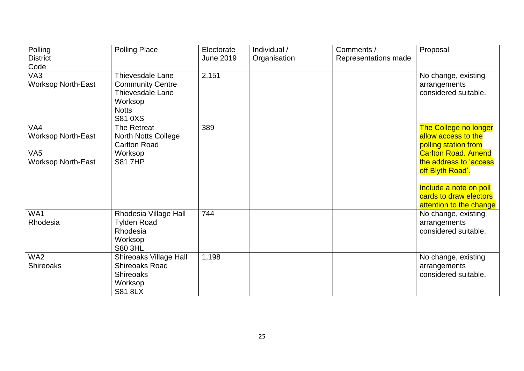| Polling                   | <b>Polling Place</b>          | Electorate       | Individual / | Comments /           | Proposal                                         |
|---------------------------|-------------------------------|------------------|--------------|----------------------|--------------------------------------------------|
| <b>District</b>           |                               | <b>June 2019</b> | Organisation | Representations made |                                                  |
| Code                      |                               |                  |              |                      |                                                  |
| VA <sub>3</sub>           | Thievesdale Lane              | 2,151            |              |                      | No change, existing                              |
| <b>Worksop North-East</b> | <b>Community Centre</b>       |                  |              |                      | arrangements                                     |
|                           | <b>Thievesdale Lane</b>       |                  |              |                      | considered suitable.                             |
|                           | Worksop                       |                  |              |                      |                                                  |
|                           | <b>Notts</b>                  |                  |              |                      |                                                  |
|                           | S81 0XS                       |                  |              |                      |                                                  |
| VA4                       | The Retreat                   | 389              |              |                      | <b>The College no longer</b>                     |
| <b>Worksop North-East</b> | North Notts College           |                  |              |                      | allow access to the                              |
|                           | <b>Carlton Road</b>           |                  |              |                      | polling station from                             |
| VA <sub>5</sub>           | Worksop                       |                  |              |                      | <b>Carlton Road. Amend</b>                       |
| <b>Worksop North-East</b> | <b>S81 7HP</b>                |                  |              |                      | the address to 'access                           |
|                           |                               |                  |              |                      | off Blyth Road'.                                 |
|                           |                               |                  |              |                      |                                                  |
|                           |                               |                  |              |                      | Include a note on poll<br>cards to draw electors |
|                           |                               |                  |              |                      | attention to the change                          |
| WA1                       | Rhodesia Village Hall         | 744              |              |                      | No change, existing                              |
| Rhodesia                  | <b>Tylden Road</b>            |                  |              |                      | arrangements                                     |
|                           | Rhodesia                      |                  |              |                      | considered suitable.                             |
|                           | Worksop                       |                  |              |                      |                                                  |
|                           | <b>S80 3HL</b>                |                  |              |                      |                                                  |
| WA <sub>2</sub>           | <b>Shireoaks Village Hall</b> | 1,198            |              |                      | No change, existing                              |
| <b>Shireoaks</b>          | <b>Shireoaks Road</b>         |                  |              |                      | arrangements                                     |
|                           | <b>Shireoaks</b>              |                  |              |                      | considered suitable.                             |
|                           | Worksop                       |                  |              |                      |                                                  |
|                           | <b>S81 8LX</b>                |                  |              |                      |                                                  |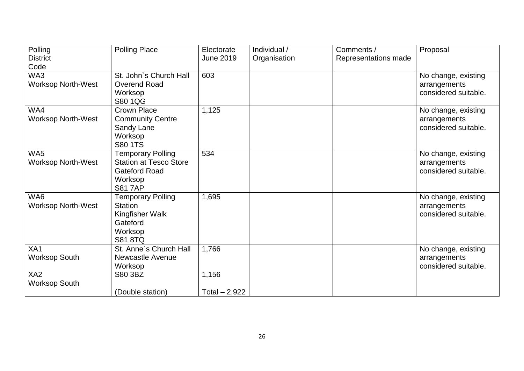| Polling<br><b>District</b>               | <b>Polling Place</b>                                                                                          | Electorate<br>June 2019 | Individual /<br>Organisation | Comments /<br>Representations made | Proposal                                                    |
|------------------------------------------|---------------------------------------------------------------------------------------------------------------|-------------------------|------------------------------|------------------------------------|-------------------------------------------------------------|
| Code<br>WA3<br><b>Worksop North-West</b> | St. John's Church Hall<br>Overend Road                                                                        | 603                     |                              |                                    | No change, existing<br>arrangements                         |
|                                          | Worksop<br>S80 1QG                                                                                            |                         |                              |                                    | considered suitable.                                        |
| WA4<br><b>Worksop North-West</b>         | <b>Crown Place</b><br><b>Community Centre</b><br>Sandy Lane<br>Worksop<br><b>S80 1TS</b>                      | 1,125                   |                              |                                    | No change, existing<br>arrangements<br>considered suitable. |
| WA5<br><b>Worksop North-West</b>         | <b>Temporary Polling</b><br><b>Station at Tesco Store</b><br><b>Gateford Road</b><br>Worksop<br><b>S817AP</b> | 534                     |                              |                                    | No change, existing<br>arrangements<br>considered suitable. |
| WA6<br><b>Worksop North-West</b>         | <b>Temporary Polling</b><br><b>Station</b><br>Kingfisher Walk<br>Gateford<br>Worksop<br><b>S81 8TQ</b>        | 1,695                   |                              |                                    | No change, existing<br>arrangements<br>considered suitable. |
| XA1<br><b>Worksop South</b>              | St. Anne's Church Hall<br><b>Newcastle Avenue</b><br>Worksop                                                  | 1,766                   |                              |                                    | No change, existing<br>arrangements<br>considered suitable. |
| XA <sub>2</sub><br><b>Worksop South</b>  | S80 3BZ                                                                                                       | 1,156                   |                              |                                    |                                                             |
|                                          | (Double station)                                                                                              | Total $-2,922$          |                              |                                    |                                                             |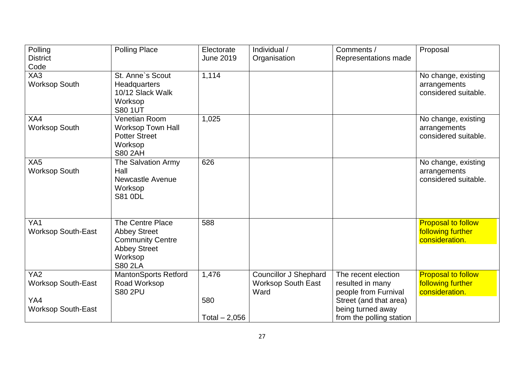| Polling<br><b>District</b>                   | <b>Polling Place</b>                                                                                                   | Electorate<br><b>June 2019</b> | Individual /<br>Organisation                                      | Comments /<br>Representations made                                      | Proposal                                                         |
|----------------------------------------------|------------------------------------------------------------------------------------------------------------------------|--------------------------------|-------------------------------------------------------------------|-------------------------------------------------------------------------|------------------------------------------------------------------|
| Code                                         |                                                                                                                        |                                |                                                                   |                                                                         |                                                                  |
| XA3<br><b>Worksop South</b>                  | St. Anne's Scout<br>Headquarters<br>10/12 Slack Walk<br>Worksop<br><b>S80 1UT</b>                                      | 1,114                          |                                                                   |                                                                         | No change, existing<br>arrangements<br>considered suitable.      |
| XA4<br><b>Worksop South</b>                  | <b>Venetian Room</b><br><b>Worksop Town Hall</b><br><b>Potter Street</b><br>Worksop<br><b>S80 2AH</b>                  | 1,025                          |                                                                   |                                                                         | No change, existing<br>arrangements<br>considered suitable.      |
| XA <sub>5</sub><br><b>Worksop South</b>      | The Salvation Army<br>Hall<br><b>Newcastle Avenue</b><br>Worksop<br><b>S81 0DL</b>                                     | 626                            |                                                                   |                                                                         | No change, existing<br>arrangements<br>considered suitable.      |
| YA1<br><b>Worksop South-East</b>             | The Centre Place<br><b>Abbey Street</b><br><b>Community Centre</b><br><b>Abbey Street</b><br>Worksop<br><b>S80 2LA</b> | 588                            |                                                                   |                                                                         | <b>Proposal to follow</b><br>following further<br>consideration. |
| YA <sub>2</sub><br><b>Worksop South-East</b> | <b>MantonSports Retford</b><br>Road Worksop<br><b>S80 2PU</b>                                                          | 1,476                          | <b>Councillor J Shephard</b><br><b>Worksop South East</b><br>Ward | The recent election<br>resulted in many<br>people from Furnival         | <b>Proposal to follow</b><br>following further<br>consideration. |
| YA4<br><b>Worksop South-East</b>             |                                                                                                                        | 580<br>Total $-2,056$          |                                                                   | Street (and that area)<br>being turned away<br>from the polling station |                                                                  |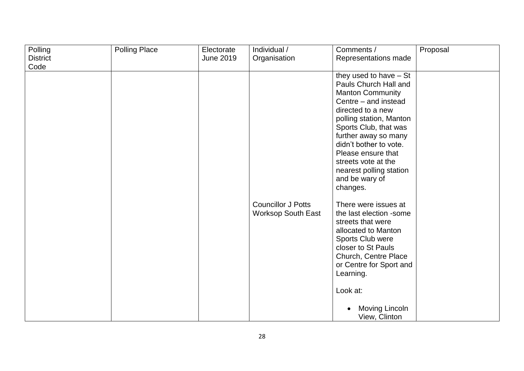| Polling         | <b>Polling Place</b> | Electorate       | Individual /                                           | Comments /                                                                                                                                                                                                                                                                                                                            | Proposal |
|-----------------|----------------------|------------------|--------------------------------------------------------|---------------------------------------------------------------------------------------------------------------------------------------------------------------------------------------------------------------------------------------------------------------------------------------------------------------------------------------|----------|
| <b>District</b> |                      | <b>June 2019</b> | Organisation                                           | Representations made                                                                                                                                                                                                                                                                                                                  |          |
| Code            |                      |                  |                                                        |                                                                                                                                                                                                                                                                                                                                       |          |
|                 |                      |                  |                                                        | they used to have $-$ St<br>Pauls Church Hall and<br><b>Manton Community</b><br>Centre - and instead<br>directed to a new<br>polling station, Manton<br>Sports Club, that was<br>further away so many<br>didn't bother to vote.<br>Please ensure that<br>streets vote at the<br>nearest polling station<br>and be wary of<br>changes. |          |
|                 |                      |                  | <b>Councillor J Potts</b><br><b>Worksop South East</b> | There were issues at<br>the last election -some<br>streets that were<br>allocated to Manton<br>Sports Club were<br>closer to St Pauls<br>Church, Centre Place<br>or Centre for Sport and<br>Learning.<br>Look at:<br>Moving Lincoln<br>View, Clinton                                                                                  |          |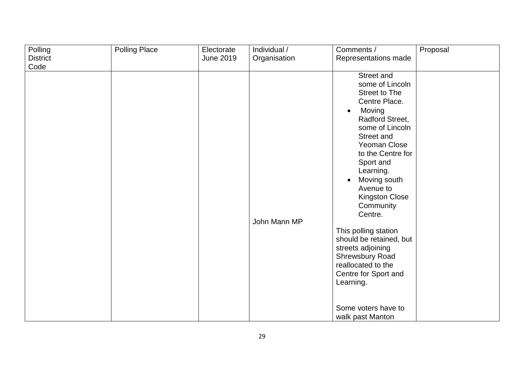| Polling         | <b>Polling Place</b> | Electorate       | Individual / | Comments /                                                                                                                                                                                                                                                                                                                                                                                                                                                                                      | Proposal |
|-----------------|----------------------|------------------|--------------|-------------------------------------------------------------------------------------------------------------------------------------------------------------------------------------------------------------------------------------------------------------------------------------------------------------------------------------------------------------------------------------------------------------------------------------------------------------------------------------------------|----------|
| <b>District</b> |                      | <b>June 2019</b> | Organisation | Representations made                                                                                                                                                                                                                                                                                                                                                                                                                                                                            |          |
| Code            |                      |                  |              |                                                                                                                                                                                                                                                                                                                                                                                                                                                                                                 |          |
|                 |                      |                  | John Mann MP | Street and<br>some of Lincoln<br><b>Street to The</b><br>Centre Place.<br>Moving<br>$\bullet$<br>Radford Street,<br>some of Lincoln<br>Street and<br>Yeoman Close<br>to the Centre for<br>Sport and<br>Learning.<br>Moving south<br>$\bullet$<br>Avenue to<br><b>Kingston Close</b><br>Community<br>Centre.<br>This polling station<br>should be retained, but<br>streets adjoining<br><b>Shrewsbury Road</b><br>reallocated to the<br>Centre for Sport and<br>Learning.<br>Some voters have to |          |
|                 |                      |                  |              | walk past Manton                                                                                                                                                                                                                                                                                                                                                                                                                                                                                |          |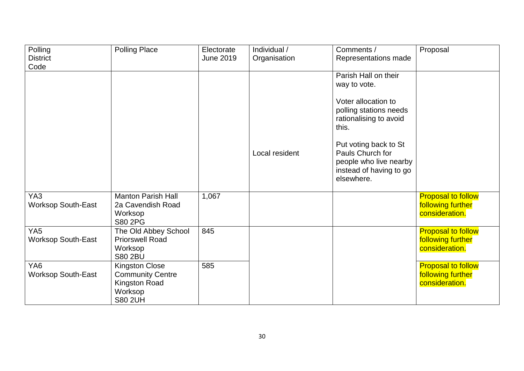| Polling<br><b>District</b>                   | <b>Polling Place</b>                                                                                  | Electorate<br><b>June 2019</b> | Individual /<br>Organisation | Comments /<br>Representations made                                                                           | Proposal                                                         |
|----------------------------------------------|-------------------------------------------------------------------------------------------------------|--------------------------------|------------------------------|--------------------------------------------------------------------------------------------------------------|------------------------------------------------------------------|
| Code                                         |                                                                                                       |                                |                              |                                                                                                              |                                                                  |
|                                              |                                                                                                       |                                |                              | Parish Hall on their<br>way to vote.<br>Voter allocation to                                                  |                                                                  |
|                                              |                                                                                                       |                                |                              | polling stations needs<br>rationalising to avoid<br>this.                                                    |                                                                  |
|                                              |                                                                                                       |                                | Local resident               | Put voting back to St<br>Pauls Church for<br>people who live nearby<br>instead of having to go<br>elsewhere. |                                                                  |
| YA3<br><b>Worksop South-East</b>             | <b>Manton Parish Hall</b><br>2a Cavendish Road<br>Worksop<br>S80 2PG                                  | 1,067                          |                              |                                                                                                              | <b>Proposal to follow</b><br>following further<br>consideration. |
| YA <sub>5</sub><br><b>Worksop South-East</b> | The Old Abbey School<br><b>Priorswell Road</b><br>Worksop<br><b>S80 2BU</b>                           | 845                            |                              |                                                                                                              | <b>Proposal to follow</b><br>following further<br>consideration. |
| YA <sub>6</sub><br><b>Worksop South-East</b> | <b>Kingston Close</b><br><b>Community Centre</b><br><b>Kingston Road</b><br>Worksop<br><b>S80 2UH</b> | 585                            |                              |                                                                                                              | <b>Proposal to follow</b><br>following further<br>consideration. |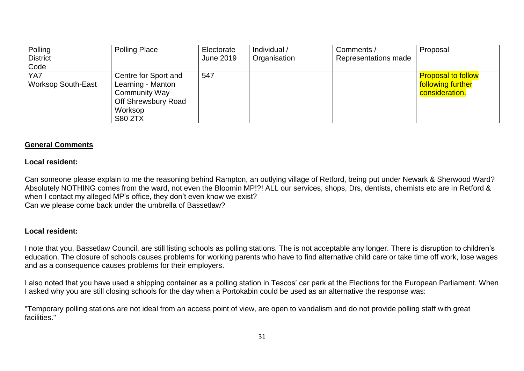| Polling                   | <b>Polling Place</b> | Electorate | Individual / | Comments /           | Proposal                  |
|---------------------------|----------------------|------------|--------------|----------------------|---------------------------|
| <b>District</b>           |                      | June 2019  | Organisation | Representations made |                           |
| Code                      |                      |            |              |                      |                           |
| YA7                       | Centre for Sport and | 547        |              |                      | <b>Proposal to follow</b> |
| <b>Worksop South-East</b> | Learning - Manton    |            |              |                      | following further         |
|                           | Community Way        |            |              |                      | consideration.            |
|                           | Off Shrewsbury Road  |            |              |                      |                           |
|                           | Worksop              |            |              |                      |                           |
|                           | <b>S80 2TX</b>       |            |              |                      |                           |

## **General Comments**

### **Local resident:**

Can someone please explain to me the reasoning behind Rampton, an outlying village of Retford, being put under Newark & Sherwood Ward? Absolutely NOTHING comes from the ward, not even the Bloomin MP!?! ALL our services, shops, Drs, dentists, chemists etc are in Retford & when I contact my alleged MP's office, they don't even know we exist? Can we please come back under the umbrella of Bassetlaw?

### **Local resident:**

I note that you, Bassetlaw Council, are still listing schools as polling stations. The is not acceptable any longer. There is disruption to children's education. The closure of schools causes problems for working parents who have to find alternative child care or take time off work, lose wages and as a consequence causes problems for their employers.

I also noted that you have used a shipping container as a polling station in Tescos' car park at the Elections for the European Parliament. When I asked why you are still closing schools for the day when a Portokabin could be used as an alternative the response was:

"Temporary polling stations are not ideal from an access point of view, are open to vandalism and do not provide polling staff with great facilities."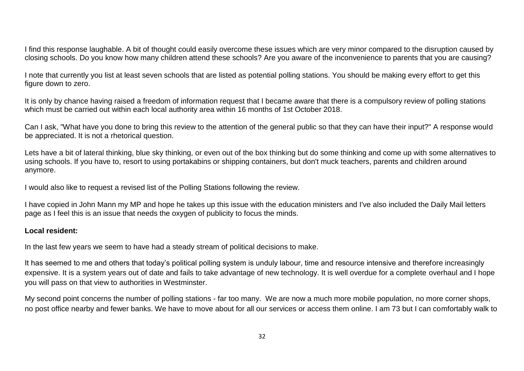I find this response laughable. A bit of thought could easily overcome these issues which are very minor compared to the disruption caused by closing schools. Do you know how many children attend these schools? Are you aware of the inconvenience to parents that you are causing?

I note that currently you list at least seven schools that are listed as potential polling stations. You should be making every effort to get this figure down to zero.

It is only by chance having raised a freedom of information request that I became aware that there is a compulsory review of polling stations which must be carried out within each local authority area within 16 months of 1st October 2018.

Can I ask, "What have you done to bring this review to the attention of the general public so that they can have their input?" A response would be appreciated. It is not a rhetorical question.

Lets have a bit of lateral thinking, blue sky thinking, or even out of the box thinking but do some thinking and come up with some alternatives to using schools. If you have to, resort to using portakabins or shipping containers, but don't muck teachers, parents and children around anymore.

I would also like to request a revised list of the Polling Stations following the review.

I have copied in John Mann my MP and hope he takes up this issue with the education ministers and I've also included the Daily Mail letters page as I feel this is an issue that needs the oxygen of publicity to focus the minds.

#### **Local resident:**

In the last few years we seem to have had a steady stream of political decisions to make.

It has seemed to me and others that today's political polling system is unduly labour, time and resource intensive and therefore increasingly expensive. It is a system years out of date and fails to take advantage of new technology. It is well overdue for a complete overhaul and I hope you will pass on that view to authorities in Westminster.

My second point concerns the number of polling stations - far too many. We are now a much more mobile population, no more corner shops, no post office nearby and fewer banks. We have to move about for all our services or access them online. I am 73 but I can comfortably walk to